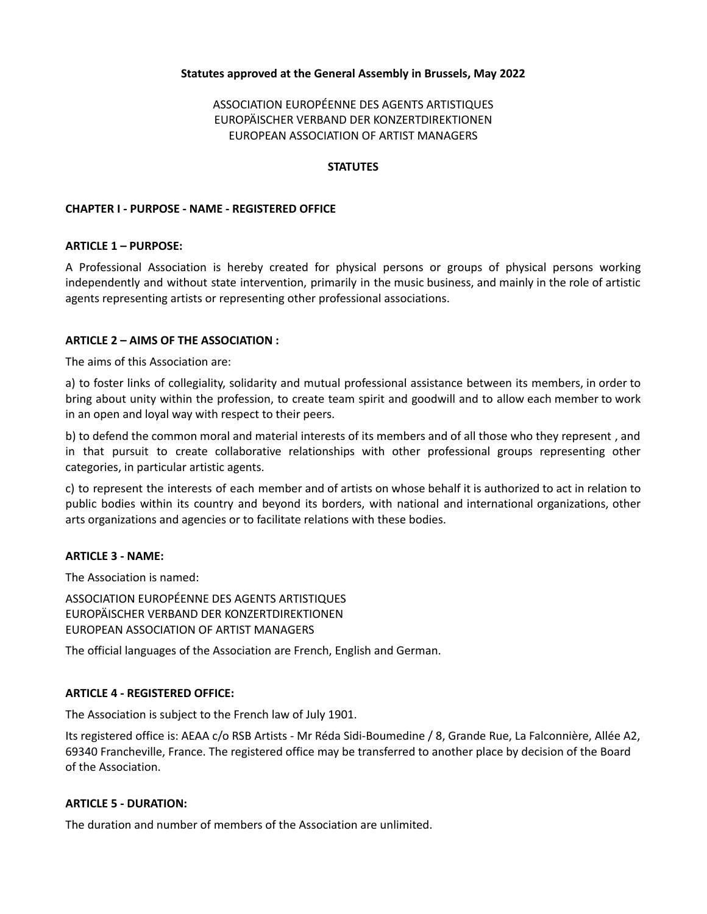## **Statutes approved at the General Assembly in Brussels, May 2022**

# ASSOCIATION EUROPÉENNE DES AGENTS ARTISTIQUES EUROPÄISCHER VERBAND DER KONZERTDIREKTIONEN EUROPEAN ASSOCIATION OF ARTIST MANAGERS

#### **STATUTES**

### **CHAPTER I - PURPOSE - NAME - REGISTERED OFFICE**

#### **ARTICLE 1 – PURPOSE:**

A Professional Association is hereby created for physical persons or groups of physical persons working independently and without state intervention, primarily in the music business, and mainly in the role of artistic agents representing artists or representing other professional associations.

#### **ARTICLE 2 – AIMS OF THE ASSOCIATION :**

The aims of this Association are:

a) to foster links of collegiality, solidarity and mutual professional assistance between its members, in order to bring about unity within the profession, to create team spirit and goodwill and to allow each member to work in an open and loyal way with respect to their peers.

b) to defend the common moral and material interests of its members and of all those who they represent , and in that pursuit to create collaborative relationships with other professional groups representing other categories, in particular artistic agents.

c) to represent the interests of each member and of artists on whose behalf it is authorized to act in relation to public bodies within its country and beyond its borders, with national and international organizations, other arts organizations and agencies or to facilitate relations with these bodies.

#### **ARTICLE 3 - NAME:**

The Association is named:

ASSOCIATION EUROPÉENNE DES AGENTS ARTISTIQUES EUROPÄISCHER VERBAND DER KONZERTDIREKTIONEN EUROPEAN ASSOCIATION OF ARTIST MANAGERS

The official languages of the Association are French, English and German.

#### **ARTICLE 4 - REGISTERED OFFICE:**

The Association is subject to the French law of July 1901.

Its registered office is: AEAA c/o RSB Artists - Mr Réda Sidi-Boumedine / 8, Grande Rue, La Falconnière, Allée A2, 69340 Francheville, France. The registered office may be transferred to another place by decision of the Board of the Association.

#### **ARTICLE 5 - DURATION:**

The duration and number of members of the Association are unlimited.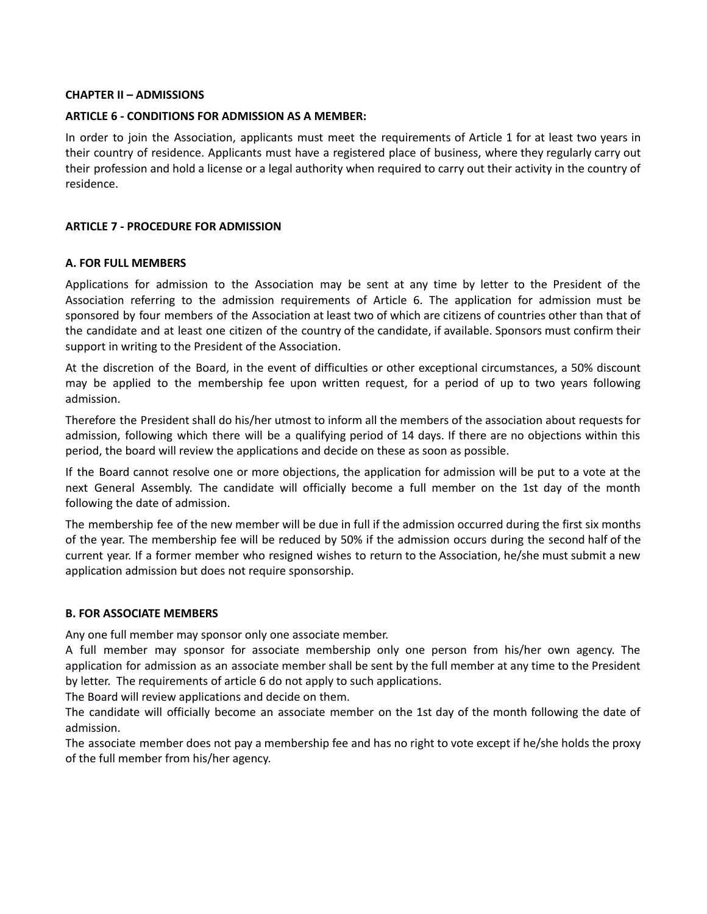### **CHAPTER II – ADMISSIONS**

### **ARTICLE 6 - CONDITIONS FOR ADMISSION AS A MEMBER:**

In order to join the Association, applicants must meet the requirements of Article 1 for at least two years in their country of residence. Applicants must have a registered place of business, where they regularly carry out their profession and hold a license or a legal authority when required to carry out their activity in the country of residence.

## **ARTICLE 7 - PROCEDURE FOR ADMISSION**

### **A. FOR FULL MEMBERS**

Applications for admission to the Association may be sent at any time by letter to the President of the Association referring to the admission requirements of Article 6. The application for admission must be sponsored by four members of the Association at least two of which are citizens of countries other than that of the candidate and at least one citizen of the country of the candidate, if available. Sponsors must confirm their support in writing to the President of the Association.

At the discretion of the Board, in the event of difficulties or other exceptional circumstances, a 50% discount may be applied to the membership fee upon written request, for a period of up to two years following admission.

Therefore the President shall do his/her utmost to inform all the members of the association about requests for admission, following which there will be a qualifying period of 14 days. If there are no objections within this period, the board will review the applications and decide on these as soon as possible.

If the Board cannot resolve one or more objections, the application for admission will be put to a vote at the next General Assembly. The candidate will officially become a full member on the 1st day of the month following the date of admission.

The membership fee of the new member will be due in full if the admission occurred during the first six months of the year. The membership fee will be reduced by 50% if the admission occurs during the second half of the current year. If a former member who resigned wishes to return to the Association, he/she must submit a new application admission but does not require sponsorship.

#### **B. FOR ASSOCIATE MEMBERS**

Any one full member may sponsor only one associate member.

A full member may sponsor for associate membership only one person from his/her own agency. The application for admission as an associate member shall be sent by the full member at any time to the President by letter. The requirements of article 6 do not apply to such applications.

The Board will review applications and decide on them.

The candidate will officially become an associate member on the 1st day of the month following the date of admission.

The associate member does not pay a membership fee and has no right to vote except if he/she holds the proxy of the full member from his/her agency.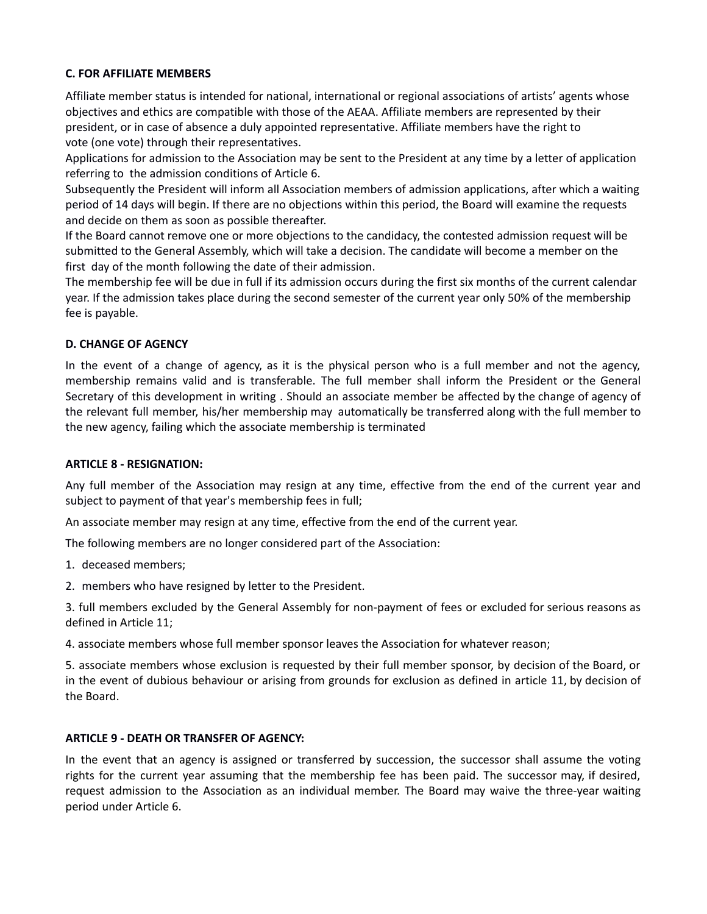## **C. FOR AFFILIATE MEMBERS**

Affiliate member status is intended for national, international or regional associations of artists' agents whose objectives and ethics are compatible with those of the AEAA. Affiliate members are represented by their president, or in case of absence a duly appointed representative. Affiliate members have the right to vote (one vote) through their representatives.

Applications for admission to the Association may be sent to the President at any time by a letter of application referring to the admission conditions of Article 6.

Subsequently the President will inform all Association members of admission applications, after which a waiting period of 14 days will begin. If there are no objections within this period, the Board will examine the requests and decide on them as soon as possible thereafter.

If the Board cannot remove one or more objections to the candidacy, the contested admission request will be submitted to the General Assembly, which will take a decision. The candidate will become a member on the first day of the month following the date of their admission.

The membership fee will be due in full if its admission occurs during the first six months of the current calendar year. If the admission takes place during the second semester of the current year only 50% of the membership fee is payable.

# **D. CHANGE OF AGENCY**

In the event of a change of agency, as it is the physical person who is a full member and not the agency, membership remains valid and is transferable. The full member shall inform the President or the General Secretary of this development in writing . Should an associate member be affected by the change of agency of the relevant full member, his/her membership may automatically be transferred along with the full member to the new agency, failing which the associate membership is terminated

## **ARTICLE 8 - RESIGNATION:**

Any full member of the Association may resign at any time, effective from the end of the current year and subject to payment of that year's membership fees in full;

An associate member may resign at any time, effective from the end of the current year.

The following members are no longer considered part of the Association:

1. deceased members;

2. members who have resigned by letter to the President.

3. full members excluded by the General Assembly for non-payment of fees or excluded for serious reasons as defined in Article 11;

4. associate members whose full member sponsor leaves the Association for whatever reason;

5. associate members whose exclusion is requested by their full member sponsor, by decision of the Board, or in the event of dubious behaviour or arising from grounds for exclusion as defined in article 11, by decision of the Board.

## **ARTICLE 9 - DEATH OR TRANSFER OF AGENCY:**

In the event that an agency is assigned or transferred by succession, the successor shall assume the voting rights for the current year assuming that the membership fee has been paid. The successor may, if desired, request admission to the Association as an individual member. The Board may waive the three-year waiting period under Article 6.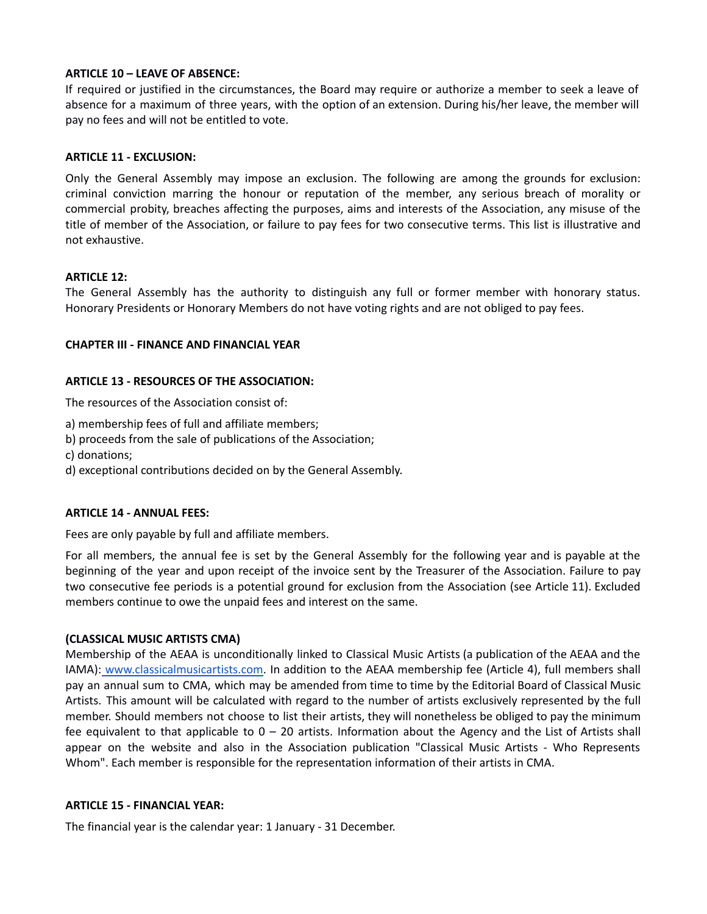## **ARTICLE 10 – LEAVE OF ABSENCE:**

If required or justified in the circumstances, the Board may require or authorize a member to seek a leave of absence for a maximum of three years, with the option of an extension. During his/her leave, the member will pay no fees and will not be entitled to vote.

### **ARTICLE 11 - EXCLUSION:**

Only the General Assembly may impose an exclusion. The following are among the grounds for exclusion: criminal conviction marring the honour or reputation of the member, any serious breach of morality or commercial probity, breaches affecting the purposes, aims and interests of the Association, any misuse of the title of member of the Association, or failure to pay fees for two consecutive terms. This list is illustrative and not exhaustive.

### **ARTICLE 12:**

The General Assembly has the authority to distinguish any full or former member with honorary status. Honorary Presidents or Honorary Members do not have voting rights and are not obliged to pay fees.

### **CHAPTER III - FINANCE AND FINANCIAL YEAR**

### **ARTICLE 13 - RESOURCES OF THE ASSOCIATION:**

The resources of the Association consist of:

- a) membership fees of full and affiliate members;
- b) proceeds from the sale of publications of the Association;
- c) donations;
- d) exceptional contributions decided on by the General Assembly.

#### **ARTICLE 14 - ANNUAL FEES:**

Fees are only payable by full and affiliate members.

For all members, the annual fee is set by the General Assembly for the following year and is payable at the beginning of the year and upon receipt of the invoice sent by the Treasurer of the Association. Failure to pay two consecutive fee periods is a potential ground for exclusion from the Association (see Article 11). Excluded members continue to owe the unpaid fees and interest on the same.

#### **(CLASSICAL MUSIC ARTISTS CMA)**

Membership of the AEAA is unconditionally linked to Classical Music Artists (a publication of the AEAA and the IAMA): [www.classicalmusicartists.com](http://www.classicalmusicartists.com). In addition to the AEAA membership fee (Article 4), full members shall pay an annual sum to CMA, which may be amended from time to time by the Editorial Board of Classical Music Artists. This amount will be calculated with regard to the number of artists exclusively represented by the full member. Should members not choose to list their artists, they will nonetheless be obliged to pay the minimum fee equivalent to that applicable to  $0 - 20$  artists. Information about the Agency and the List of Artists shall appear on the website and also in the Association publication "Classical Music Artists - Who Represents Whom". Each member is responsible for the representation information of their artists in CMA.

#### **ARTICLE 15 - FINANCIAL YEAR:**

The financial year is the calendar year: 1 January - 31 December.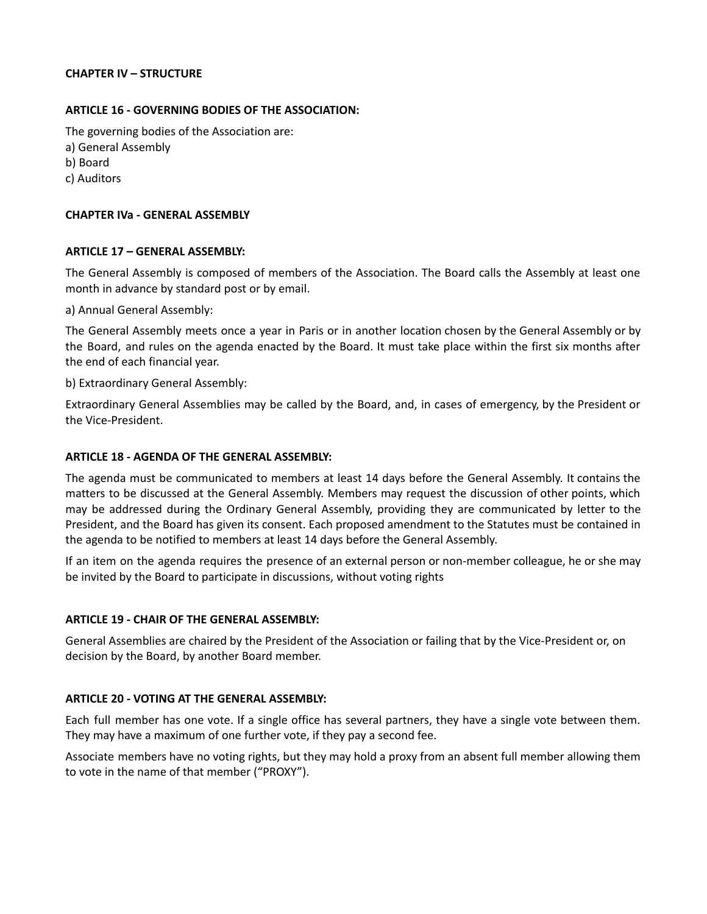### **CHAPTER IV – STRUCTURE**

## **ARTICLE 16 - GOVERNING BODIES OF THE ASSOCIATION:**

The governing bodies of the Association are: a) General Assembly b) Board c) Auditors

#### **CHAPTER IVa - GENERAL ASSEMBLY**

#### **ARTICLE 17 – GENERAL ASSEMBLY:**

The General Assembly is composed of members of the Association. The Board calls the Assembly at least one month in advance by standard post or by email.

a) Annual General Assembly:

The General Assembly meets once a year in Paris or in another location chosen by the General Assembly or by the Board, and rules on the agenda enacted by the Board. It must take place within the first six months after the end of each financial year.

b) Extraordinary General Assembly:

Extraordinary General Assemblies may be called by the Board, and, in cases of emergency, by the President or the Vice-President.

### **ARTICLE 18 - AGENDA OF THE GENERAL ASSEMBLY:**

The agenda must be communicated to members at least 14 days before the General Assembly. It contains the matters to be discussed at the General Assembly. Members may request the discussion of other points, which may be addressed during the Ordinary General Assembly, providing they are communicated by letter to the President, and the Board has given its consent. Each proposed amendment to the Statutes must be contained in the agenda to be notified to members at least 14 days before the General Assembly.

If an item on the agenda requires the presence of an external person or non-member colleague, he or she may be invited by the Board to participate in discussions, without voting rights

#### **ARTICLE 19 - CHAIR OF THE GENERAL ASSEMBLY:**

General Assemblies are chaired by the President of the Association or failing that by the Vice-President or, on decision by the Board, by another Board member.

#### **ARTICLE 20 - VOTING AT THE GENERAL ASSEMBLY:**

Each full member has one vote. If a single office has several partners, they have a single vote between them. They may have a maximum of one further vote, if they pay a second fee.

Associate members have no voting rights, but they may hold a proxy from an absent full member allowing them to vote in the name of that member ("PROXY").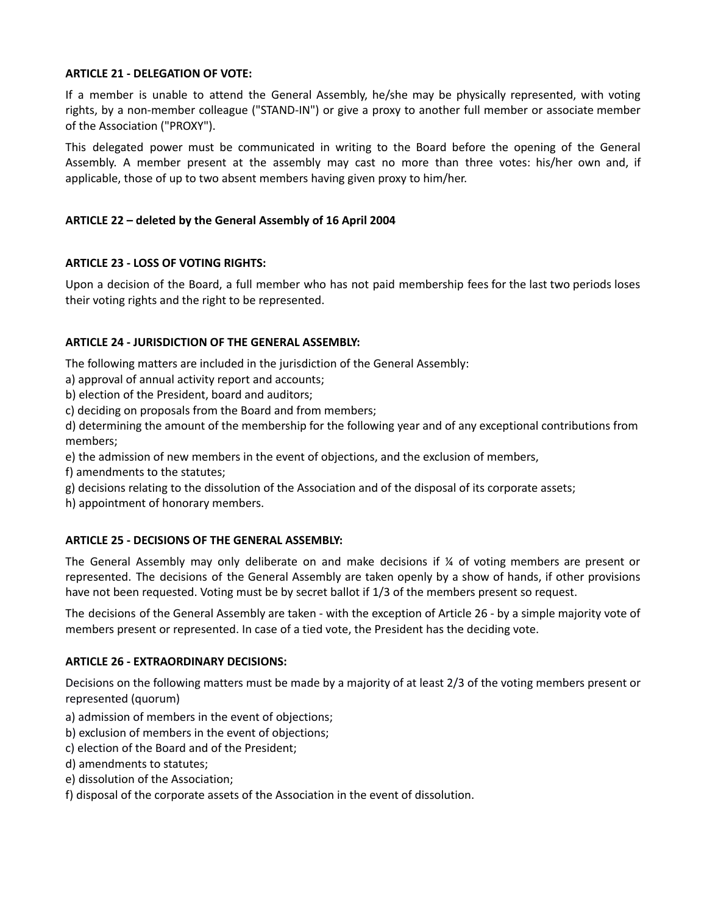## **ARTICLE 21 - DELEGATION OF VOTE:**

If a member is unable to attend the General Assembly, he/she may be physically represented, with voting rights, by a non-member colleague ("STAND-IN") or give a proxy to another full member or associate member of the Association ("PROXY").

This delegated power must be communicated in writing to the Board before the opening of the General Assembly. A member present at the assembly may cast no more than three votes: his/her own and, if applicable, those of up to two absent members having given proxy to him/her.

# **ARTICLE 22 – deleted by the General Assembly of 16 April 2004**

# **ARTICLE 23 - LOSS OF VOTING RIGHTS:**

Upon a decision of the Board, a full member who has not paid membership fees for the last two periods loses their voting rights and the right to be represented.

# **ARTICLE 24 - JURISDICTION OF THE GENERAL ASSEMBLY:**

The following matters are included in the jurisdiction of the General Assembly:

a) approval of annual activity report and accounts;

b) election of the President, board and auditors;

c) deciding on proposals from the Board and from members;

d) determining the amount of the membership for the following year and of any exceptional contributions from members;

e) the admission of new members in the event of objections, and the exclusion of members,

f) amendments to the statutes;

g) decisions relating to the dissolution of the Association and of the disposal of its corporate assets;

h) appointment of honorary members.

## **ARTICLE 25 - DECISIONS OF THE GENERAL ASSEMBLY:**

The General Assembly may only deliberate on and make decisions if  $\chi$  of voting members are present or represented. The decisions of the General Assembly are taken openly by a show of hands, if other provisions have not been requested. Voting must be by secret ballot if 1/3 of the members present so request.

The decisions of the General Assembly are taken - with the exception of Article 26 - by a simple majority vote of members present or represented. In case of a tied vote, the President has the deciding vote.

## **ARTICLE 26 - EXTRAORDINARY DECISIONS:**

Decisions on the following matters must be made by a majority of at least 2/3 of the voting members present or represented (quorum)

- a) admission of members in the event of objections;
- b) exclusion of members in the event of objections;
- c) election of the Board and of the President;
- d) amendments to statutes;
- e) dissolution of the Association;
- f) disposal of the corporate assets of the Association in the event of dissolution.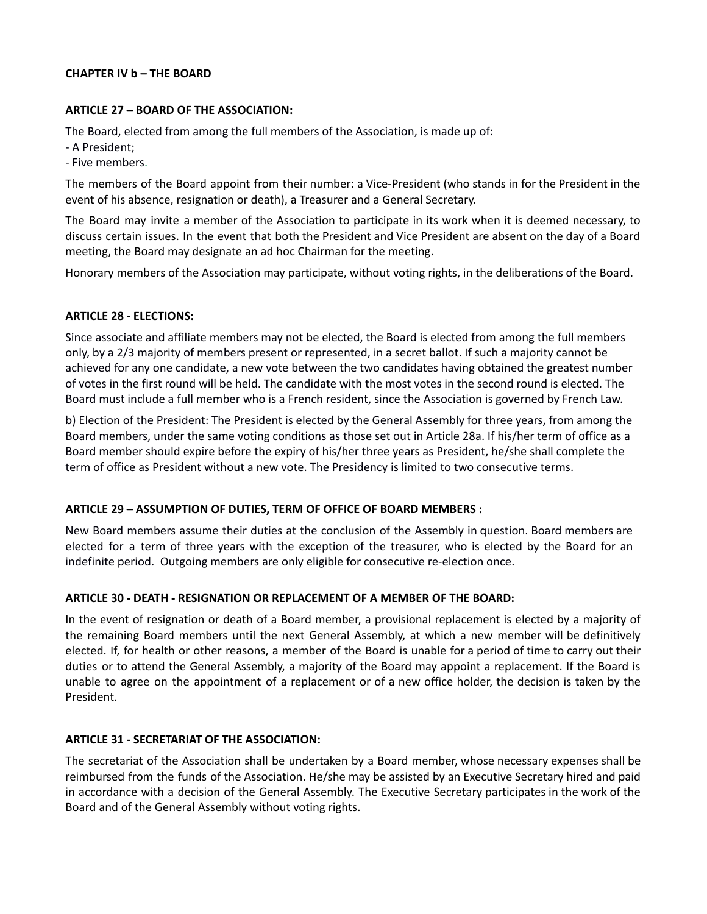### **CHAPTER IV b – THE BOARD**

## **ARTICLE 27 – BOARD OF THE ASSOCIATION:**

The Board, elected from among the full members of the Association, is made up of:

- A President;
- Five members.

The members of the Board appoint from their number: a Vice-President (who stands in for the President in the event of his absence, resignation or death), a Treasurer and a General Secretary.

The Board may invite a member of the Association to participate in its work when it is deemed necessary, to discuss certain issues. In the event that both the President and Vice President are absent on the day of a Board meeting, the Board may designate an ad hoc Chairman for the meeting.

Honorary members of the Association may participate, without voting rights, in the deliberations of the Board.

## **ARTICLE 28 - ELECTIONS:**

Since associate and affiliate members may not be elected, the Board is elected from among the full members only, by a 2/3 majority of members present or represented, in a secret ballot. If such a majority cannot be achieved for any one candidate, a new vote between the two candidates having obtained the greatest number of votes in the first round will be held. The candidate with the most votes in the second round is elected. The Board must include a full member who is a French resident, since the Association is governed by French Law.

b) Election of the President: The President is elected by the General Assembly for three years, from among the Board members, under the same voting conditions as those set out in Article 28a. If his/her term of office as a Board member should expire before the expiry of his/her three years as President, he/she shall complete the term of office as President without a new vote. The Presidency is limited to two consecutive terms.

## **ARTICLE 29 – ASSUMPTION OF DUTIES, TERM OF OFFICE OF BOARD MEMBERS :**

New Board members assume their duties at the conclusion of the Assembly in question. Board members are elected for a term of three years with the exception of the treasurer, who is elected by the Board for an indefinite period. Outgoing members are only eligible for consecutive re-election once.

## **ARTICLE 30 - DEATH - RESIGNATION OR REPLACEMENT OF A MEMBER OF THE BOARD:**

In the event of resignation or death of a Board member, a provisional replacement is elected by a majority of the remaining Board members until the next General Assembly, at which a new member will be definitively elected. If, for health or other reasons, a member of the Board is unable for a period of time to carry out their duties or to attend the General Assembly, a majority of the Board may appoint a replacement. If the Board is unable to agree on the appointment of a replacement or of a new office holder, the decision is taken by the President.

## **ARTICLE 31 - SECRETARIAT OF THE ASSOCIATION:**

The secretariat of the Association shall be undertaken by a Board member, whose necessary expenses shall be reimbursed from the funds of the Association. He/she may be assisted by an Executive Secretary hired and paid in accordance with a decision of the General Assembly. The Executive Secretary participates in the work of the Board and of the General Assembly without voting rights.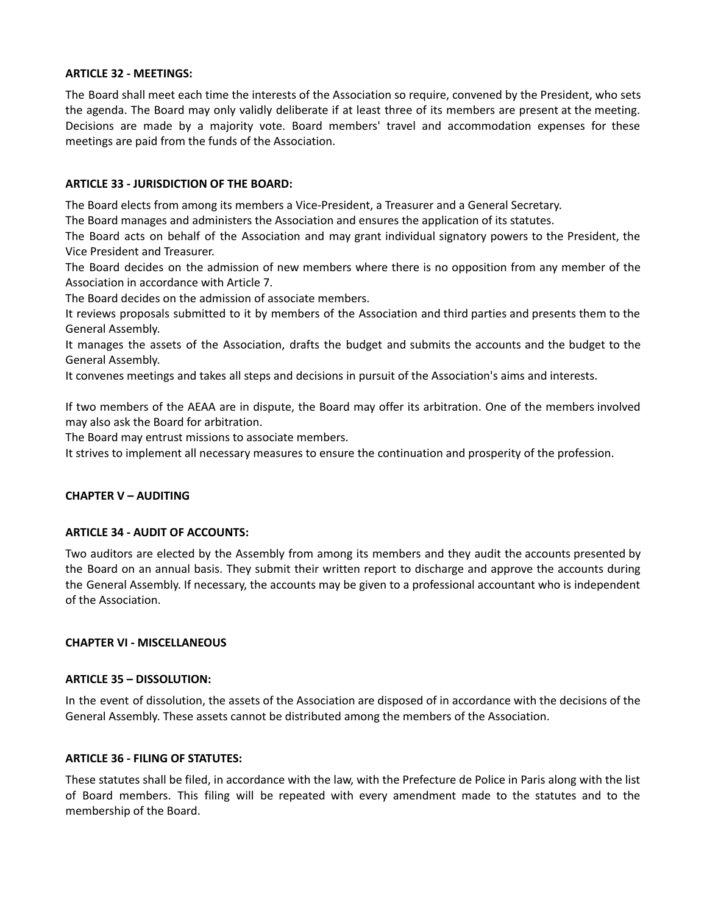### **ARTICLE 32 - MEETINGS:**

The Board shall meet each time the interests of the Association so require, convened by the President, who sets the agenda. The Board may only validly deliberate if at least three of its members are present at the meeting. Decisions are made by a majority vote. Board members' travel and accommodation expenses for these meetings are paid from the funds of the Association.

## **ARTICLE 33 - JURISDICTION OF THE BOARD:**

The Board elects from among its members a Vice-President, a Treasurer and a General Secretary.

The Board manages and administers the Association and ensures the application of its statutes.

The Board acts on behalf of the Association and may grant individual signatory powers to the President, the Vice President and Treasurer.

The Board decides on the admission of new members where there is no opposition from any member of the Association in accordance with Article 7.

The Board decides on the admission of associate members.

It reviews proposals submitted to it by members of the Association and third parties and presents them to the General Assembly.

It manages the assets of the Association, drafts the budget and submits the accounts and the budget to the General Assembly.

It convenes meetings and takes all steps and decisions in pursuit of the Association's aims and interests.

If two members of the AEAA are in dispute, the Board may offer its arbitration. One of the members involved may also ask the Board for arbitration.

The Board may entrust missions to associate members.

It strives to implement all necessary measures to ensure the continuation and prosperity of the profession.

## **CHAPTER V – AUDITING**

## **ARTICLE 34 - AUDIT OF ACCOUNTS:**

Two auditors are elected by the Assembly from among its members and they audit the accounts presented by the Board on an annual basis. They submit their written report to discharge and approve the accounts during the General Assembly. If necessary, the accounts may be given to a professional accountant who is independent of the Association.

#### **CHAPTER VI - MISCELLANEOUS**

#### **ARTICLE 35 – DISSOLUTION:**

In the event of dissolution, the assets of the Association are disposed of in accordance with the decisions of the General Assembly. These assets cannot be distributed among the members of the Association.

#### **ARTICLE 36 - FILING OF STATUTES:**

These statutes shall be filed, in accordance with the law, with the Prefecture de Police in Paris along with the list of Board members. This filing will be repeated with every amendment made to the statutes and to the membership of the Board.